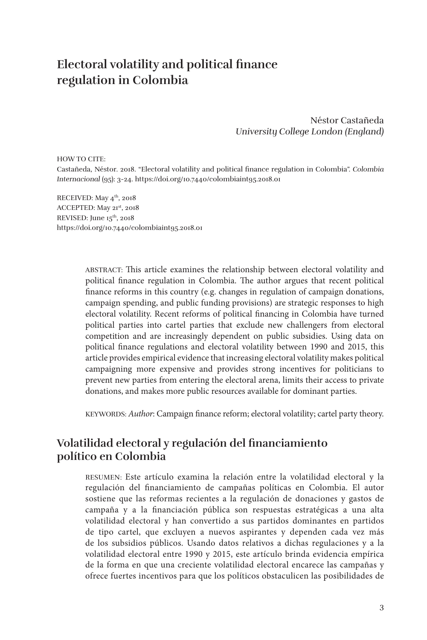# **Electoral volatility and political finance regulation in Colombia**

Néstor Castañeda *University College London (England)*

HOW TO CITE:

Castañeda, Néstor. 2018. "Electoral volatility and political finance regulation in Colombia". *Colombia Internacional* (95): 3-24. https://doi.org/10.7440/colombiaint95.2018.01

RECEIVED: May  $4^{\text{th}}$ , 2018 ACCEPTED: May 21st, 2018 REVISED: June 15<sup>th</sup>, 2018 https://doi.org/10.7440/colombiaint95.2018.01

> ABSTRACT: This article examines the relationship between electoral volatility and political finance regulation in Colombia. The author argues that recent political finance reforms in this country (e.g. changes in regulation of campaign donations, campaign spending, and public funding provisions) are strategic responses to high electoral volatility. Recent reforms of political financing in Colombia have turned political parties into cartel parties that exclude new challengers from electoral competition and are increasingly dependent on public subsidies. Using data on political finance regulations and electoral volatility between 1990 and 2015, this article provides empirical evidence that increasing electoral volatility makes political campaigning more expensive and provides strong incentives for politicians to prevent new parties from entering the electoral arena, limits their access to private donations, and makes more public resources available for dominant parties.

> KEYWORDS: *Author*: Campaign finance reform; electoral volatility; cartel party theory.

### **Volatilidad electoral y regulación del financiamiento político en Colombia**

RESUMEN: Este artículo examina la relación entre la volatilidad electoral y la regulación del financiamiento de campañas políticas en Colombia. El autor sostiene que las reformas recientes a la regulación de donaciones y gastos de campaña y a la financiación pública son respuestas estratégicas a una alta volatilidad electoral y han convertido a sus partidos dominantes en partidos de tipo cartel, que excluyen a nuevos aspirantes y dependen cada vez más de los subsidios públicos. Usando datos relativos a dichas regulaciones y a la volatilidad electoral entre 1990 y 2015, este artículo brinda evidencia empírica de la forma en que una creciente volatilidad electoral encarece las campañas y ofrece fuertes incentivos para que los políticos obstaculicen las posibilidades de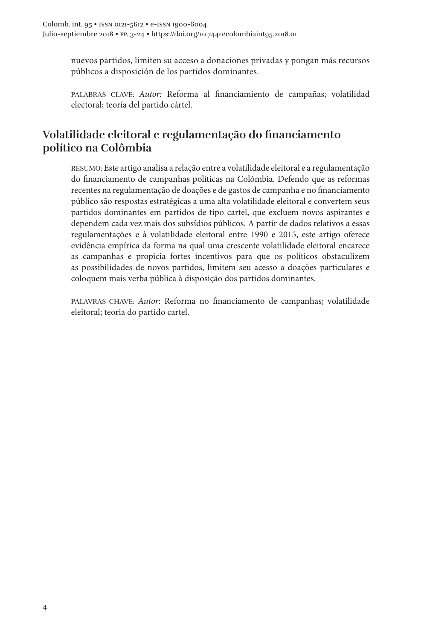nuevos partidos, limiten su acceso a donaciones privadas y pongan más recursos públicos a disposición de los partidos dominantes.

PALABRAS CLAVE: *Autor:* Reforma al financiamiento de campañas; volatilidad electoral; teoría del partido cártel.

### **Volatilidade eleitoral e regulamentação do financiamento político na Colômbia**

RESUMO: Este artigo analisa a relação entre a volatilidade eleitoral e a regulamentação do financiamento de campanhas políticas na Colômbia. Defendo que as reformas recentes na regulamentação de doações e de gastos de campanha e no financiamento público são respostas estratégicas a uma alta volatilidade eleitoral e convertem seus partidos dominantes em partidos de tipo cartel, que excluem novos aspirantes e dependem cada vez mais dos subsídios públicos. A partir de dados relativos a essas regulamentações e à volatilidade eleitoral entre 1990 e 2015, este artigo oferece evidência empírica da forma na qual uma crescente volatilidade eleitoral encarece as campanhas e propicia fortes incentivos para que os políticos obstaculizem as possibilidades de novos partidos, limitem seu acesso a doações particulares e coloquem mais verba pública à disposição dos partidos dominantes.

PALAVRAS-CHAVE: *Autor*: Reforma no financiamento de campanhas; volatilidade eleitoral; teoria do partido cartel.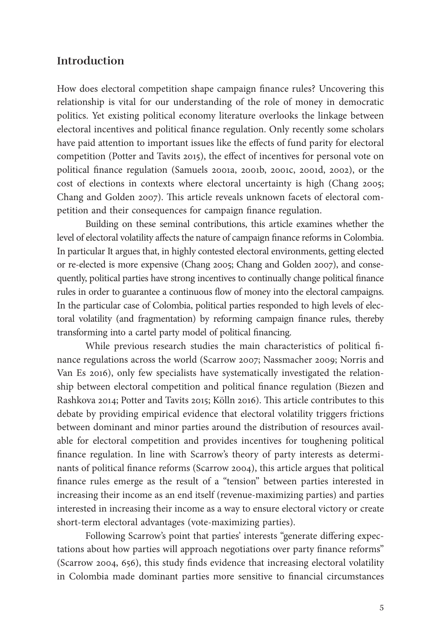#### **Introduction**

How does electoral competition shape campaign finance rules? Uncovering this relationship is vital for our understanding of the role of money in democratic politics. Yet existing political economy literature overlooks the linkage between electoral incentives and political finance regulation. Only recently some scholars have paid attention to important issues like the effects of fund parity for electoral competition (Potter and Tavits 2015), the effect of incentives for personal vote on political finance regulation (Samuels 2001a, 2001b, 2001c, 2001d, 2002), or the cost of elections in contexts where electoral uncertainty is high (Chang 2005; Chang and Golden 2007). This article reveals unknown facets of electoral competition and their consequences for campaign finance regulation.

Building on these seminal contributions, this article examines whether the level of electoral volatility affects the nature of campaign finance reforms in Colombia. In particular It argues that, in highly contested electoral environments, getting elected or re-elected is more expensive (Chang 2005; Chang and Golden 2007), and consequently, political parties have strong incentives to continually change political finance rules in order to guarantee a continuous flow of money into the electoral campaigns. In the particular case of Colombia, political parties responded to high levels of electoral volatility (and fragmentation) by reforming campaign finance rules, thereby transforming into a cartel party model of political financing.

While previous research studies the main characteristics of political finance regulations across the world (Scarrow 2007; Nassmacher 2009; Norris and Van Es 2016), only few specialists have systematically investigated the relationship between electoral competition and political finance regulation (Biezen and Rashkova 2014; Potter and Tavits 2015; Kölln 2016). This article contributes to this debate by providing empirical evidence that electoral volatility triggers frictions between dominant and minor parties around the distribution of resources available for electoral competition and provides incentives for toughening political finance regulation. In line with Scarrow's theory of party interests as determinants of political finance reforms (Scarrow 2004), this article argues that political finance rules emerge as the result of a "tension" between parties interested in increasing their income as an end itself (revenue-maximizing parties) and parties interested in increasing their income as a way to ensure electoral victory or create short-term electoral advantages (vote-maximizing parties).

Following Scarrow's point that parties' interests "generate differing expectations about how parties will approach negotiations over party finance reforms" (Scarrow 2004, 656), this study finds evidence that increasing electoral volatility in Colombia made dominant parties more sensitive to financial circumstances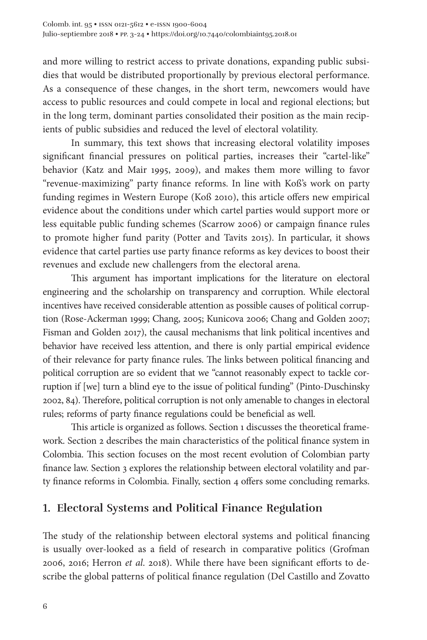and more willing to restrict access to private donations, expanding public subsidies that would be distributed proportionally by previous electoral performance. As a consequence of these changes, in the short term, newcomers would have access to public resources and could compete in local and regional elections; but in the long term, dominant parties consolidated their position as the main recipients of public subsidies and reduced the level of electoral volatility.

In summary, this text shows that increasing electoral volatility imposes significant financial pressures on political parties, increases their "cartel-like" behavior (Katz and Mair 1995, 2009), and makes them more willing to favor "revenue-maximizing" party finance reforms. In line with Koß's work on party funding regimes in Western Europe (Koß 2010), this article offers new empirical evidence about the conditions under which cartel parties would support more or less equitable public funding schemes (Scarrow 2006) or campaign finance rules to promote higher fund parity (Potter and Tavits 2015). In particular, it shows evidence that cartel parties use party finance reforms as key devices to boost their revenues and exclude new challengers from the electoral arena.

This argument has important implications for the literature on electoral engineering and the scholarship on transparency and corruption. While electoral incentives have received considerable attention as possible causes of political corruption (Rose-Ackerman 1999; Chang, 2005; Kunicova 2006; Chang and Golden 2007; Fisman and Golden 2017), the causal mechanisms that link political incentives and behavior have received less attention, and there is only partial empirical evidence of their relevance for party finance rules. The links between political financing and political corruption are so evident that we "cannot reasonably expect to tackle corruption if [we] turn a blind eye to the issue of political funding" (Pinto-Duschinsky 2002, 84). Therefore, political corruption is not only amenable to changes in electoral rules; reforms of party finance regulations could be beneficial as well.

This article is organized as follows. Section 1 discusses the theoretical framework. Section 2 describes the main characteristics of the political finance system in Colombia. This section focuses on the most recent evolution of Colombian party finance law. Section 3 explores the relationship between electoral volatility and party finance reforms in Colombia. Finally, section 4 offers some concluding remarks.

#### **1. Electoral Systems and Political Finance Regulation**

The study of the relationship between electoral systems and political financing is usually over-looked as a field of research in comparative politics (Grofman 2006, 2016; Herron *et al*. 2018). While there have been significant efforts to describe the global patterns of political finance regulation (Del Castillo and Zovatto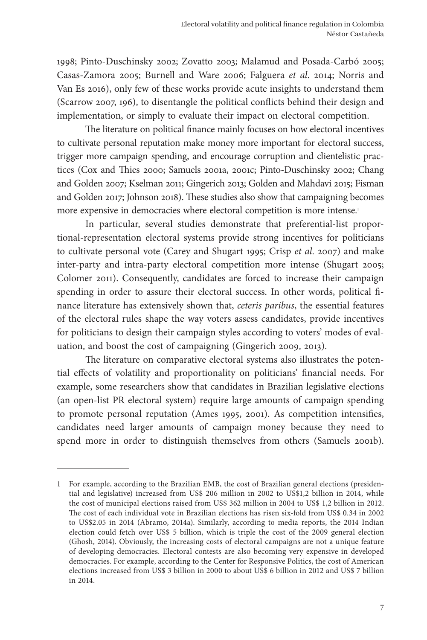1998; Pinto-Duschinsky 2002; Zovatto 2003; Malamud and Posada-Carbó 2005; Casas-Zamora 2005; Burnell and Ware 2006; Falguera *et al*. 2014; Norris and Van Es 2016), only few of these works provide acute insights to understand them (Scarrow 2007, 196), to disentangle the political conflicts behind their design and implementation, or simply to evaluate their impact on electoral competition.

The literature on political finance mainly focuses on how electoral incentives to cultivate personal reputation make money more important for electoral success, trigger more campaign spending, and encourage corruption and clientelistic practices (Cox and Thies 2000; Samuels 2001a, 2001c; Pinto-Duschinsky 2002; Chang and Golden 2007; Kselman 2011; Gingerich 2013; Golden and Mahdavi 2015; Fisman and Golden 2017; Johnson 2018). These studies also show that campaigning becomes more expensive in democracies where electoral competition is more intense.<sup>1</sup>

In particular, several studies demonstrate that preferential-list proportional-representation electoral systems provide strong incentives for politicians to cultivate personal vote (Carey and Shugart 1995; Crisp *et al*. 2007) and make inter-party and intra-party electoral competition more intense (Shugart 2005; Colomer 2011). Consequently, candidates are forced to increase their campaign spending in order to assure their electoral success. In other words, political finance literature has extensively shown that, *ceteris paribus*, the essential features of the electoral rules shape the way voters assess candidates, provide incentives for politicians to design their campaign styles according to voters' modes of evaluation, and boost the cost of campaigning (Gingerich 2009, 2013).

The literature on comparative electoral systems also illustrates the potential effects of volatility and proportionality on politicians' financial needs. For example, some researchers show that candidates in Brazilian legislative elections (an open-list PR electoral system) require large amounts of campaign spending to promote personal reputation (Ames 1995, 2001). As competition intensifies, candidates need larger amounts of campaign money because they need to spend more in order to distinguish themselves from others (Samuels 2001b).

<sup>1</sup> For example, according to the Brazilian EMB, the cost of Brazilian general elections (presidential and legislative) increased from US\$ 206 million in 2002 to US\$1,2 billion in 2014, while the cost of municipal elections raised from US\$ 362 million in 2004 to US\$ 1,2 billion in 2012. The cost of each individual vote in Brazilian elections has risen six-fold from US\$ 0.34 in 2002 to US\$2.05 in 2014 (Abramo, 2014a). Similarly, according to media reports, the 2014 Indian election could fetch over US\$ 5 billion, which is triple the cost of the 2009 general election (Ghosh, 2014). Obviously, the increasing costs of electoral campaigns are not a unique feature of developing democracies. Electoral contests are also becoming very expensive in developed democracies. For example, according to the Center for Responsive Politics, the cost of American elections increased from US\$ 3 billion in 2000 to about US\$ 6 billion in 2012 and US\$ 7 billion in 2014.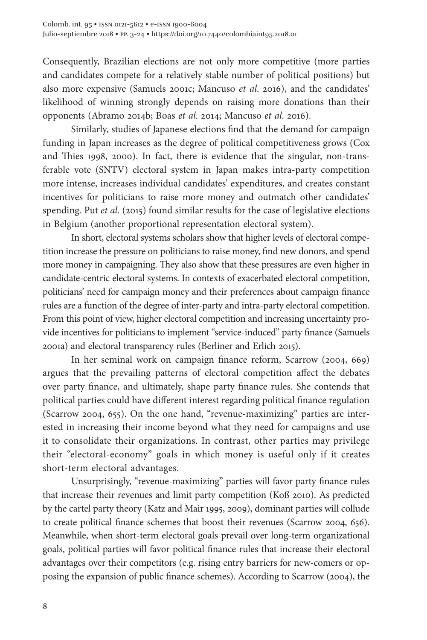Consequently, Brazilian elections are not only more competitive (more parties and candidates compete for a relatively stable number of political positions) but also more expensive (Samuels 2001c; Mancuso *et al*. 2016), and the candidates' likelihood of winning strongly depends on raising more donations than their opponents (Abramo 2014b; Boas *et al*. 2014; Mancuso *et al*. 2016).

Similarly, studies of Japanese elections find that the demand for campaign funding in Japan increases as the degree of political competitiveness grows (Cox and Thies 1998, 2000). In fact, there is evidence that the singular, non-transferable vote (SNTV) electoral system in Japan makes intra-party competition more intense, increases individual candidates' expenditures, and creates constant incentives for politicians to raise more money and outmatch other candidates' spending. Put *et al*. (2015) found similar results for the case of legislative elections in Belgium (another proportional representation electoral system).

In short, electoral systems scholars show that higher levels of electoral competition increase the pressure on politicians to raise money, find new donors, and spend more money in campaigning. They also show that these pressures are even higher in candidate-centric electoral systems. In contexts of exacerbated electoral competition, politicians' need for campaign money and their preferences about campaign finance rules are a function of the degree of inter-party and intra-party electoral competition. From this point of view, higher electoral competition and increasing uncertainty provide incentives for politicians to implement "service-induced" party finance (Samuels 2001a) and electoral transparency rules (Berliner and Erlich 2015).

In her seminal work on campaign finance reform, Scarrow (2004, 669) argues that the prevailing patterns of electoral competition affect the debates over party finance, and ultimately, shape party finance rules. She contends that political parties could have different interest regarding political finance regulation (Scarrow 2004, 655). On the one hand, "revenue-maximizing" parties are interested in increasing their income beyond what they need for campaigns and use it to consolidate their organizations. In contrast, other parties may privilege their "electoral-economy" goals in which money is useful only if it creates short-term electoral advantages.

Unsurprisingly, "revenue-maximizing" parties will favor party finance rules that increase their revenues and limit party competition (Koß 2010). As predicted by the cartel party theory (Katz and Mair 1995, 2009), dominant parties will collude to create political finance schemes that boost their revenues (Scarrow 2004, 656). Meanwhile, when short-term electoral goals prevail over long-term organizational goals, political parties will favor political finance rules that increase their electoral advantages over their competitors (e.g. rising entry barriers for new-comers or opposing the expansion of public finance schemes). According to Scarrow (2004), the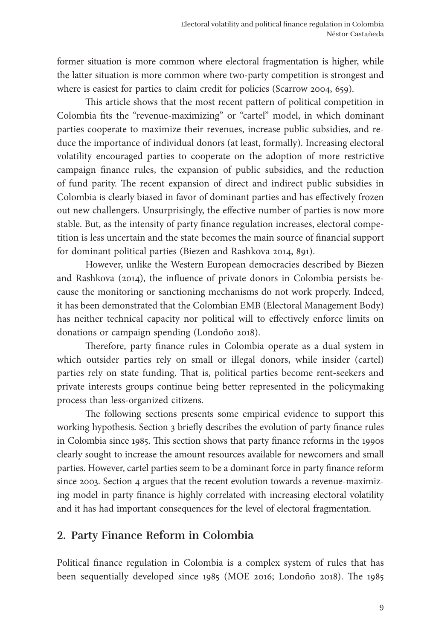former situation is more common where electoral fragmentation is higher, while the latter situation is more common where two-party competition is strongest and where is easiest for parties to claim credit for policies (Scarrow 2004, 659).

This article shows that the most recent pattern of political competition in Colombia fits the "revenue-maximizing" or "cartel" model, in which dominant parties cooperate to maximize their revenues, increase public subsidies, and reduce the importance of individual donors (at least, formally). Increasing electoral volatility encouraged parties to cooperate on the adoption of more restrictive campaign finance rules, the expansion of public subsidies, and the reduction of fund parity. The recent expansion of direct and indirect public subsidies in Colombia is clearly biased in favor of dominant parties and has effectively frozen out new challengers. Unsurprisingly, the effective number of parties is now more stable. But, as the intensity of party finance regulation increases, electoral competition is less uncertain and the state becomes the main source of financial support for dominant political parties (Biezen and Rashkova 2014, 891).

However, unlike the Western European democracies described by Biezen and Rashkova (2014), the influence of private donors in Colombia persists because the monitoring or sanctioning mechanisms do not work properly. Indeed, it has been demonstrated that the Colombian EMB (Electoral Management Body) has neither technical capacity nor political will to effectively enforce limits on donations or campaign spending (Londoño 2018).

Therefore, party finance rules in Colombia operate as a dual system in which outsider parties rely on small or illegal donors, while insider (cartel) parties rely on state funding. That is, political parties become rent-seekers and private interests groups continue being better represented in the policymaking process than less-organized citizens.

The following sections presents some empirical evidence to support this working hypothesis. Section 3 briefly describes the evolution of party finance rules in Colombia since 1985. This section shows that party finance reforms in the 1990s clearly sought to increase the amount resources available for newcomers and small parties. However, cartel parties seem to be a dominant force in party finance reform since 2003. Section 4 argues that the recent evolution towards a revenue-maximizing model in party finance is highly correlated with increasing electoral volatility and it has had important consequences for the level of electoral fragmentation.

#### **2. Party Finance Reform in Colombia**

Political finance regulation in Colombia is a complex system of rules that has been sequentially developed since 1985 (MOE 2016; Londoño 2018). The 1985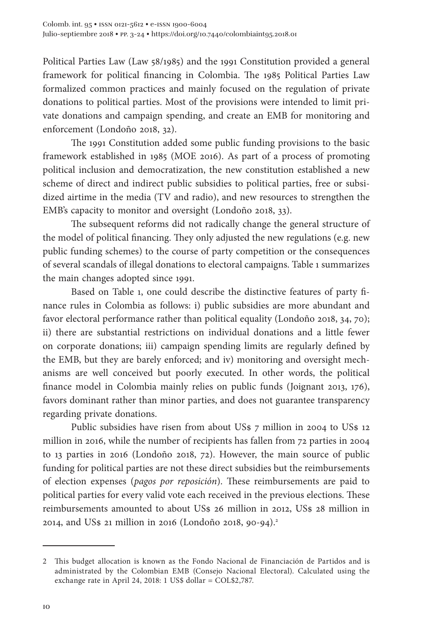Political Parties Law (Law 58/1985) and the 1991 Constitution provided a general framework for political financing in Colombia. The 1985 Political Parties Law formalized common practices and mainly focused on the regulation of private donations to political parties. Most of the provisions were intended to limit private donations and campaign spending, and create an EMB for monitoring and enforcement (Londoño 2018, 32).

The 1991 Constitution added some public funding provisions to the basic framework established in 1985 (MOE 2016). As part of a process of promoting political inclusion and democratization, the new constitution established a new scheme of direct and indirect public subsidies to political parties, free or subsidized airtime in the media (TV and radio), and new resources to strengthen the EMB's capacity to monitor and oversight (Londoño 2018, 33).

The subsequent reforms did not radically change the general structure of the model of political financing. They only adjusted the new regulations (e.g. new public funding schemes) to the course of party competition or the consequences of several scandals of illegal donations to electoral campaigns. Table 1 summarizes the main changes adopted since 1991.

Based on Table 1, one could describe the distinctive features of party finance rules in Colombia as follows: i) public subsidies are more abundant and favor electoral performance rather than political equality (Londoño 2018, 34, 70); ii) there are substantial restrictions on individual donations and a little fewer on corporate donations; iii) campaign spending limits are regularly defined by the EMB, but they are barely enforced; and iv) monitoring and oversight mechanisms are well conceived but poorly executed. In other words, the political finance model in Colombia mainly relies on public funds (Joignant 2013, 176), favors dominant rather than minor parties, and does not guarantee transparency regarding private donations.

Public subsidies have risen from about US\$ 7 million in 2004 to US\$ 12 million in 2016, while the number of recipients has fallen from 72 parties in 2004 to 13 parties in 2016 (Londoño 2018, 72). However, the main source of public funding for political parties are not these direct subsidies but the reimbursements of election expenses (*pagos por reposición*). These reimbursements are paid to political parties for every valid vote each received in the previous elections. These reimbursements amounted to about US\$ 26 million in 2012, US\$ 28 million in 2014, and US\$ 21 million in 2016 (Londoño 2018, 90-94).<sup>2</sup>

<sup>2</sup> This budget allocation is known as the Fondo Nacional de Financiación de Partidos and is administrated by the Colombian EMB (Consejo Nacional Electoral). Calculated using the exchange rate in April 24, 2018: 1 US\$ dollar = COL\$2,787.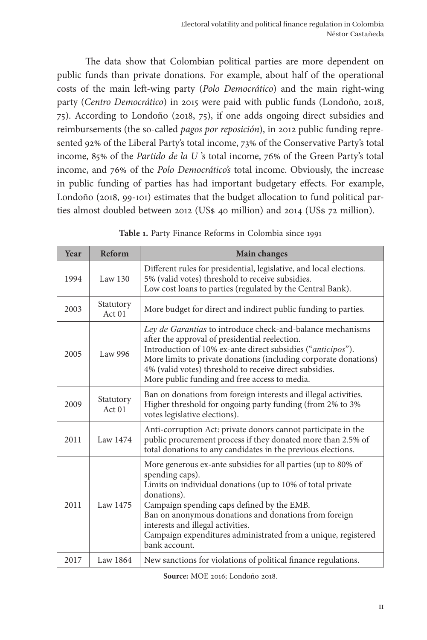The data show that Colombian political parties are more dependent on public funds than private donations. For example, about half of the operational costs of the main left-wing party (*Polo Democrático*) and the main right-wing party (*Centro Democrático*) in 2015 were paid with public funds (Londoño, 2018, 75). According to Londoño (2018, 75), if one adds ongoing direct subsidies and reimbursements (the so-called *pagos por reposición*), in 2012 public funding represented 92% of the Liberal Party's total income, 73% of the Conservative Party's total income, 85% of the *Partido de la U* 's total income, 76% of the Green Party's total income, and 76% of the *Polo Democrático's* total income. Obviously, the increase in public funding of parties has had important budgetary effects. For example, Londoño (2018, 99-101) estimates that the budget allocation to fund political parties almost doubled between 2012 (US\$ 40 million) and 2014 (US\$ 72 million).

| Year | <b>Reform</b>       | <b>Main changes</b>                                                                                                                                                                                                                                                                                                                                                                         |
|------|---------------------|---------------------------------------------------------------------------------------------------------------------------------------------------------------------------------------------------------------------------------------------------------------------------------------------------------------------------------------------------------------------------------------------|
| 1994 | Law $130$           | Different rules for presidential, legislative, and local elections.<br>5% (valid votes) threshold to receive subsidies.<br>Low cost loans to parties (regulated by the Central Bank).                                                                                                                                                                                                       |
| 2003 | Statutory<br>Act 01 | More budget for direct and indirect public funding to parties.                                                                                                                                                                                                                                                                                                                              |
| 2005 | Law 996             | Ley de Garantias to introduce check-and-balance mechanisms<br>after the approval of presidential reelection.<br>Introduction of 10% ex-ante direct subsidies ("anticipos").<br>More limits to private donations (including corporate donations)<br>4% (valid votes) threshold to receive direct subsidies.<br>More public funding and free access to media.                                 |
| 2009 | Statutory<br>Act 01 | Ban on donations from foreign interests and illegal activities.<br>Higher threshold for ongoing party funding (from 2% to 3%<br>votes legislative elections).                                                                                                                                                                                                                               |
| 2011 | Law 1474            | Anti-corruption Act: private donors cannot participate in the<br>public procurement process if they donated more than 2.5% of<br>total donations to any candidates in the previous elections.                                                                                                                                                                                               |
| 2011 | Law 1475            | More generous ex-ante subsidies for all parties (up to 80% of<br>spending caps).<br>Limits on individual donations (up to 10% of total private<br>donations).<br>Campaign spending caps defined by the EMB.<br>Ban on anonymous donations and donations from foreign<br>interests and illegal activities.<br>Campaign expenditures administrated from a unique, registered<br>bank account. |
| 2017 | Law 1864            | New sanctions for violations of political finance regulations.                                                                                                                                                                                                                                                                                                                              |

**Table 1.** Party Finance Reforms in Colombia since 1991

**Source:** MOE 2016; Londoño 2018.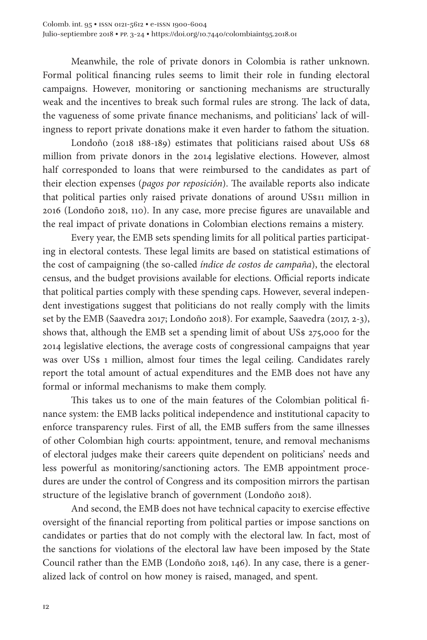Meanwhile, the role of private donors in Colombia is rather unknown. Formal political financing rules seems to limit their role in funding electoral campaigns. However, monitoring or sanctioning mechanisms are structurally weak and the incentives to break such formal rules are strong. The lack of data, the vagueness of some private finance mechanisms, and politicians' lack of willingness to report private donations make it even harder to fathom the situation.

Londoño (2018 188-189) estimates that politicians raised about US\$ 68 million from private donors in the 2014 legislative elections. However, almost half corresponded to loans that were reimbursed to the candidates as part of their election expenses (*pagos por reposición*). The available reports also indicate that political parties only raised private donations of around US\$11 million in 2016 (Londoño 2018, 110). In any case, more precise figures are unavailable and the real impact of private donations in Colombian elections remains a mistery.

Every year, the EMB sets spending limits for all political parties participating in electoral contests. These legal limits are based on statistical estimations of the cost of campaigning (the so-called *índice de costos de campaña*), the electoral census, and the budget provisions available for elections. Official reports indicate that political parties comply with these spending caps. However, several independent investigations suggest that politicians do not really comply with the limits set by the EMB (Saavedra 2017; Londoño 2018). For example, Saavedra (2017, 2-3), shows that, although the EMB set a spending limit of about US\$ 275,000 for the 2014 legislative elections, the average costs of congressional campaigns that year was over US\$ 1 million, almost four times the legal ceiling. Candidates rarely report the total amount of actual expenditures and the EMB does not have any formal or informal mechanisms to make them comply.

This takes us to one of the main features of the Colombian political finance system: the EMB lacks political independence and institutional capacity to enforce transparency rules. First of all, the EMB suffers from the same illnesses of other Colombian high courts: appointment, tenure, and removal mechanisms of electoral judges make their careers quite dependent on politicians' needs and less powerful as monitoring/sanctioning actors. The EMB appointment procedures are under the control of Congress and its composition mirrors the partisan structure of the legislative branch of government (Londoño 2018).

And second, the EMB does not have technical capacity to exercise effective oversight of the financial reporting from political parties or impose sanctions on candidates or parties that do not comply with the electoral law. In fact, most of the sanctions for violations of the electoral law have been imposed by the State Council rather than the EMB (Londoño 2018, 146). In any case, there is a generalized lack of control on how money is raised, managed, and spent.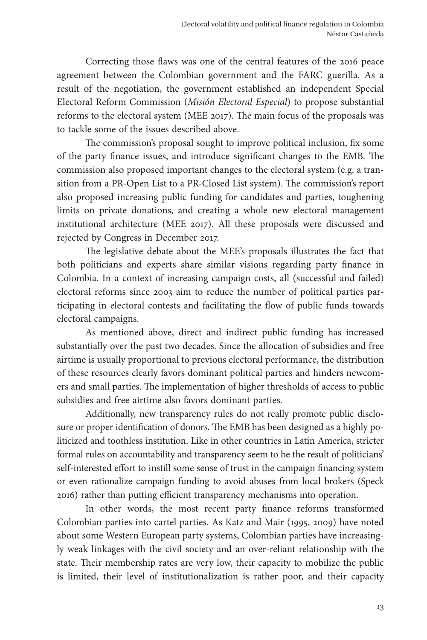Correcting those flaws was one of the central features of the 2016 peace agreement between the Colombian government and the FARC guerilla. As a result of the negotiation, the government established an independent Special Electoral Reform Commission (*Misión Electoral Especial*) to propose substantial reforms to the electoral system (MEE 2017). The main focus of the proposals was to tackle some of the issues described above.

The commission's proposal sought to improve political inclusion, fix some of the party finance issues, and introduce significant changes to the EMB. The commission also proposed important changes to the electoral system (e.g. a transition from a PR-Open List to a PR-Closed List system). The commission's report also proposed increasing public funding for candidates and parties, toughening limits on private donations, and creating a whole new electoral management institutional architecture (MEE 2017). All these proposals were discussed and rejected by Congress in December 2017.

The legislative debate about the MEE's proposals illustrates the fact that both politicians and experts share similar visions regarding party finance in Colombia. In a context of increasing campaign costs, all (successful and failed) electoral reforms since 2003 aim to reduce the number of political parties participating in electoral contests and facilitating the flow of public funds towards electoral campaigns.

As mentioned above, direct and indirect public funding has increased substantially over the past two decades. Since the allocation of subsidies and free airtime is usually proportional to previous electoral performance, the distribution of these resources clearly favors dominant political parties and hinders newcomers and small parties. The implementation of higher thresholds of access to public subsidies and free airtime also favors dominant parties.

Additionally, new transparency rules do not really promote public disclosure or proper identification of donors. The EMB has been designed as a highly politicized and toothless institution. Like in other countries in Latin America, stricter formal rules on accountability and transparency seem to be the result of politicians' self-interested effort to instill some sense of trust in the campaign financing system or even rationalize campaign funding to avoid abuses from local brokers (Speck 2016) rather than putting efficient transparency mechanisms into operation.

In other words, the most recent party finance reforms transformed Colombian parties into cartel parties. As Katz and Mair (1995, 2009) have noted about some Western European party systems, Colombian parties have increasingly weak linkages with the civil society and an over-reliant relationship with the state. Their membership rates are very low, their capacity to mobilize the public is limited, their level of institutionalization is rather poor, and their capacity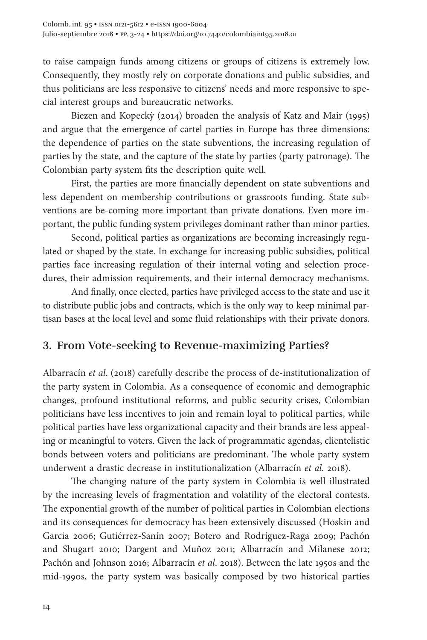to raise campaign funds among citizens or groups of citizens is extremely low. Consequently, they mostly rely on corporate donations and public subsidies, and thus politicians are less responsive to citizens' needs and more responsive to special interest groups and bureaucratic networks.

Biezen and Kopeckỳ (2014) broaden the analysis of Katz and Mair (1995) and argue that the emergence of cartel parties in Europe has three dimensions: the dependence of parties on the state subventions, the increasing regulation of parties by the state, and the capture of the state by parties (party patronage). The Colombian party system fits the description quite well.

First, the parties are more financially dependent on state subventions and less dependent on membership contributions or grassroots funding. State subventions are be-coming more important than private donations. Even more important, the public funding system privileges dominant rather than minor parties.

Second, political parties as organizations are becoming increasingly regulated or shaped by the state. In exchange for increasing public subsidies, political parties face increasing regulation of their internal voting and selection procedures, their admission requirements, and their internal democracy mechanisms.

And finally, once elected, parties have privileged access to the state and use it to distribute public jobs and contracts, which is the only way to keep minimal partisan bases at the local level and some fluid relationships with their private donors.

#### **3. From Vote-seeking to Revenue-maximizing Parties?**

Albarracín *et al*. (2018) carefully describe the process of de-institutionalization of the party system in Colombia. As a consequence of economic and demographic changes, profound institutional reforms, and public security crises, Colombian politicians have less incentives to join and remain loyal to political parties, while political parties have less organizational capacity and their brands are less appealing or meaningful to voters. Given the lack of programmatic agendas, clientelistic bonds between voters and politicians are predominant. The whole party system underwent a drastic decrease in institutionalization (Albarracín *et al.* 2018).

The changing nature of the party system in Colombia is well illustrated by the increasing levels of fragmentation and volatility of the electoral contests. The exponential growth of the number of political parties in Colombian elections and its consequences for democracy has been extensively discussed (Hoskin and Garcia 2006; Gutiérrez-Sanín 2007; Botero and Rodríguez-Raga 2009; Pachón and Shugart 2010; Dargent and Muñoz 2011; Albarracín and Milanese 2012; Pachón and Johnson 2016; Albarracín *et al*. 2018). Between the late 1950s and the mid-1990s, the party system was basically composed by two historical parties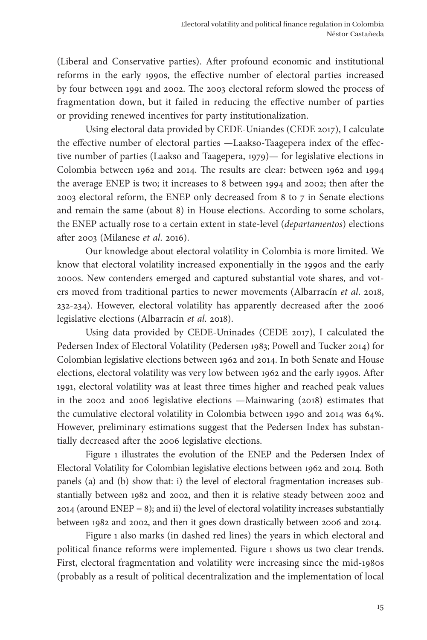(Liberal and Conservative parties). After profound economic and institutional reforms in the early 1990s, the effective number of electoral parties increased by four between 1991 and 2002. The 2003 electoral reform slowed the process of fragmentation down, but it failed in reducing the effective number of parties or providing renewed incentives for party institutionalization.

Using electoral data provided by CEDE-Uniandes (CEDE 2017), I calculate the effective number of electoral parties —Laakso-Taagepera index of the effective number of parties (Laakso and Taagepera, 1979)— for legislative elections in Colombia between 1962 and 2014. The results are clear: between 1962 and 1994 the average ENEP is two; it increases to 8 between 1994 and 2002; then after the 2003 electoral reform, the ENEP only decreased from 8 to 7 in Senate elections and remain the same (about 8) in House elections. According to some scholars, the ENEP actually rose to a certain extent in state-level (*departamentos*) elections after 2003 (Milanese *et al*. 2016).

Our knowledge about electoral volatility in Colombia is more limited. We know that electoral volatility increased exponentially in the 1990s and the early 2000s. New contenders emerged and captured substantial vote shares, and voters moved from traditional parties to newer movements (Albarracín *et al*. 2018, 232-234). However, electoral volatility has apparently decreased after the 2006 legislative elections (Albarracín *et al*. 2018).

Using data provided by CEDE-Uninades (CEDE 2017), I calculated the Pedersen Index of Electoral Volatility (Pedersen 1983; Powell and Tucker 2014) for Colombian legislative elections between 1962 and 2014. In both Senate and House elections, electoral volatility was very low between 1962 and the early 1990s. After 1991, electoral volatility was at least three times higher and reached peak values in the 2002 and 2006 legislative elections —Mainwaring (2018) estimates that the cumulative electoral volatility in Colombia between 1990 and 2014 was 64%. However, preliminary estimations suggest that the Pedersen Index has substantially decreased after the 2006 legislative elections.

Figure 1 illustrates the evolution of the ENEP and the Pedersen Index of Electoral Volatility for Colombian legislative elections between 1962 and 2014. Both panels (a) and (b) show that: i) the level of electoral fragmentation increases substantially between 1982 and 2002, and then it is relative steady between 2002 and 2014 (around ENEP = 8); and ii) the level of electoral volatility increases substantially between 1982 and 2002, and then it goes down drastically between 2006 and 2014.

Figure 1 also marks (in dashed red lines) the years in which electoral and political finance reforms were implemented. Figure 1 shows us two clear trends. First, electoral fragmentation and volatility were increasing since the mid-1980s (probably as a result of political decentralization and the implementation of local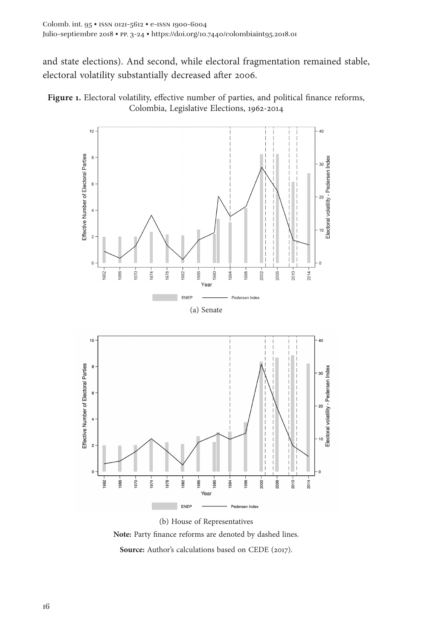and state elections). And second, while electoral fragmentation remained stable, electoral volatility substantially decreased after 2006.





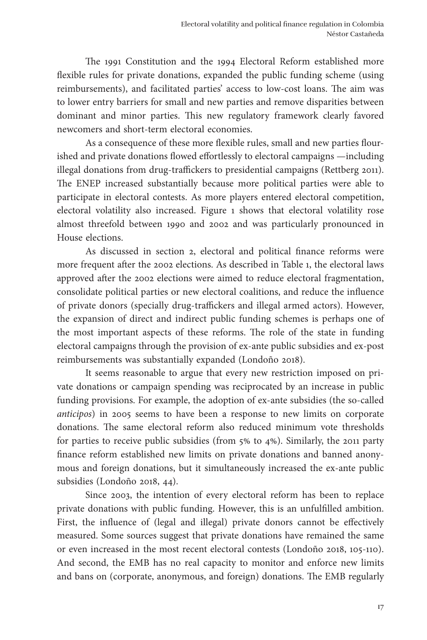The 1991 Constitution and the 1994 Electoral Reform established more flexible rules for private donations, expanded the public funding scheme (using reimbursements), and facilitated parties' access to low-cost loans. The aim was to lower entry barriers for small and new parties and remove disparities between dominant and minor parties. This new regulatory framework clearly favored newcomers and short-term electoral economies.

As a consequence of these more flexible rules, small and new parties flourished and private donations flowed effortlessly to electoral campaigns —including illegal donations from drug-traffickers to presidential campaigns (Rettberg 2011). The ENEP increased substantially because more political parties were able to participate in electoral contests. As more players entered electoral competition, electoral volatility also increased. Figure 1 shows that electoral volatility rose almost threefold between 1990 and 2002 and was particularly pronounced in House elections.

As discussed in section 2, electoral and political finance reforms were more frequent after the 2002 elections. As described in Table 1, the electoral laws approved after the 2002 elections were aimed to reduce electoral fragmentation, consolidate political parties or new electoral coalitions, and reduce the influence of private donors (specially drug-traffickers and illegal armed actors). However, the expansion of direct and indirect public funding schemes is perhaps one of the most important aspects of these reforms. The role of the state in funding electoral campaigns through the provision of ex-ante public subsidies and ex-post reimbursements was substantially expanded (Londoño 2018).

It seems reasonable to argue that every new restriction imposed on private donations or campaign spending was reciprocated by an increase in public funding provisions. For example, the adoption of ex-ante subsidies (the so-called *anticipos*) in 2005 seems to have been a response to new limits on corporate donations. The same electoral reform also reduced minimum vote thresholds for parties to receive public subsidies (from 5% to 4%). Similarly, the 2011 party finance reform established new limits on private donations and banned anonymous and foreign donations, but it simultaneously increased the ex-ante public subsidies (Londoño 2018, 44).

Since 2003, the intention of every electoral reform has been to replace private donations with public funding. However, this is an unfulfilled ambition. First, the influence of (legal and illegal) private donors cannot be effectively measured. Some sources suggest that private donations have remained the same or even increased in the most recent electoral contests (Londoño 2018, 105-110). And second, the EMB has no real capacity to monitor and enforce new limits and bans on (corporate, anonymous, and foreign) donations. The EMB regularly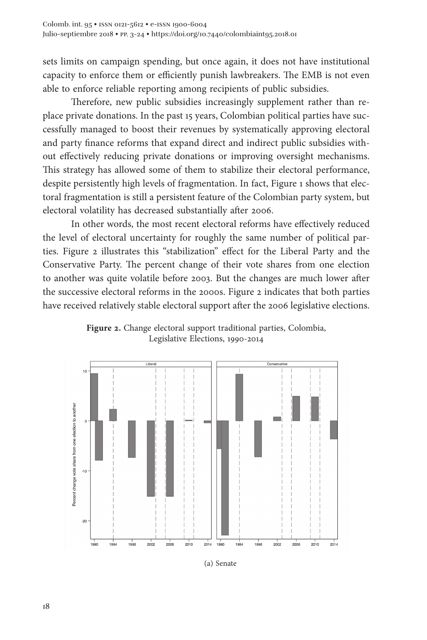sets limits on campaign spending, but once again, it does not have institutional capacity to enforce them or efficiently punish lawbreakers. The EMB is not even able to enforce reliable reporting among recipients of public subsidies.

Therefore, new public subsidies increasingly supplement rather than replace private donations. In the past 15 years, Colombian political parties have successfully managed to boost their revenues by systematically approving electoral and party finance reforms that expand direct and indirect public subsidies without effectively reducing private donations or improving oversight mechanisms. This strategy has allowed some of them to stabilize their electoral performance, despite persistently high levels of fragmentation. In fact, Figure 1 shows that electoral fragmentation is still a persistent feature of the Colombian party system, but electoral volatility has decreased substantially after 2006.

In other words, the most recent electoral reforms have effectively reduced the level of electoral uncertainty for roughly the same number of political parties. Figure 2 illustrates this "stabilization" effect for the Liberal Party and the Conservative Party. The percent change of their vote shares from one election to another was quite volatile before 2003. But the changes are much lower after the successive electoral reforms in the 2000s. Figure 2 indicates that both parties have received relatively stable electoral support after the 2006 legislative elections.



**Figure 2.** Change electoral support traditional parties, Colombia, Legislative Elections, 1990-2014

(a) Senate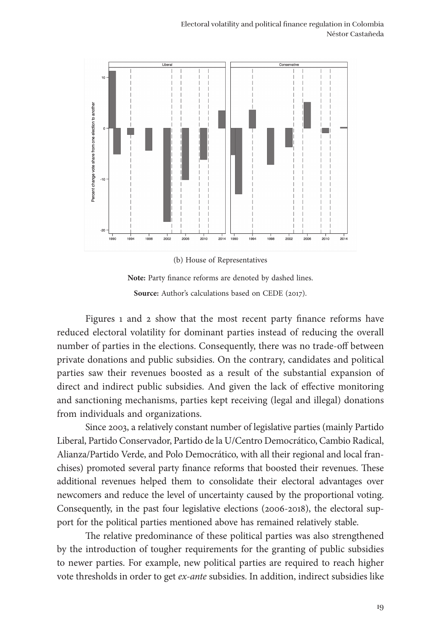

(b) House of Representatives



Figures 1 and 2 show that the most recent party finance reforms have reduced electoral volatility for dominant parties instead of reducing the overall number of parties in the elections. Consequently, there was no trade-off between private donations and public subsidies. On the contrary, candidates and political parties saw their revenues boosted as a result of the substantial expansion of direct and indirect public subsidies. And given the lack of effective monitoring and sanctioning mechanisms, parties kept receiving (legal and illegal) donations from individuals and organizations.

Since 2003, a relatively constant number of legislative parties (mainly Partido Liberal, Partido Conservador, Partido de la U/Centro Democrático, Cambio Radical, Alianza/Partido Verde, and Polo Democrático, with all their regional and local franchises) promoted several party finance reforms that boosted their revenues. These additional revenues helped them to consolidate their electoral advantages over newcomers and reduce the level of uncertainty caused by the proportional voting. Consequently, in the past four legislative elections (2006-2018), the electoral support for the political parties mentioned above has remained relatively stable.

The relative predominance of these political parties was also strengthened by the introduction of tougher requirements for the granting of public subsidies to newer parties. For example, new political parties are required to reach higher vote thresholds in order to get *ex-ante* subsidies. In addition, indirect subsidies like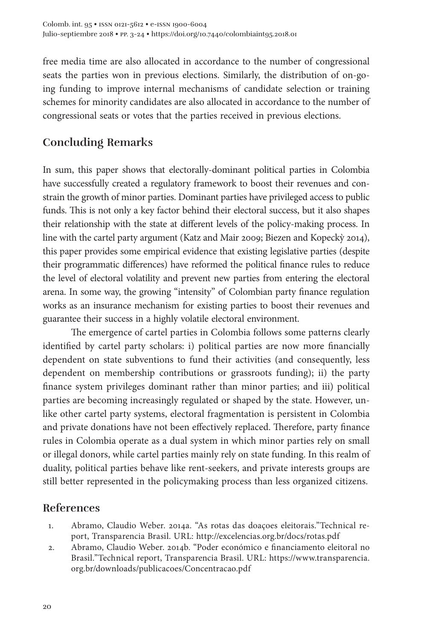free media time are also allocated in accordance to the number of congressional seats the parties won in previous elections. Similarly, the distribution of on-going funding to improve internal mechanisms of candidate selection or training schemes for minority candidates are also allocated in accordance to the number of congressional seats or votes that the parties received in previous elections.

## **Concluding Remarks**

In sum, this paper shows that electorally-dominant political parties in Colombia have successfully created a regulatory framework to boost their revenues and constrain the growth of minor parties. Dominant parties have privileged access to public funds. This is not only a key factor behind their electoral success, but it also shapes their relationship with the state at different levels of the policy-making process. In line with the cartel party argument (Katz and Mair 2009; Biezen and Kopeckỳ 2014), this paper provides some empirical evidence that existing legislative parties (despite their programmatic differences) have reformed the political finance rules to reduce the level of electoral volatility and prevent new parties from entering the electoral arena. In some way, the growing "intensity" of Colombian party finance regulation works as an insurance mechanism for existing parties to boost their revenues and guarantee their success in a highly volatile electoral environment.

The emergence of cartel parties in Colombia follows some patterns clearly identified by cartel party scholars: i) political parties are now more financially dependent on state subventions to fund their activities (and consequently, less dependent on membership contributions or grassroots funding); ii) the party finance system privileges dominant rather than minor parties; and iii) political parties are becoming increasingly regulated or shaped by the state. However, unlike other cartel party systems, electoral fragmentation is persistent in Colombia and private donations have not been effectively replaced. Therefore, party finance rules in Colombia operate as a dual system in which minor parties rely on small or illegal donors, while cartel parties mainly rely on state funding. In this realm of duality, political parties behave like rent-seekers, and private interests groups are still better represented in the policymaking process than less organized citizens.

### **References**

- 1. Abramo, Claudio Weber. 2014a. "As rotas das doaçoes eleitorais."Technical report, Transparencia Brasil. URL: http://excelencias.org.br/docs/rotas.pdf
- 2. Abramo, Claudio Weber. 2014b. "Poder económico e financiamento eleitoral no Brasil."Technical report, Transparencia Brasil. URL: https://www.transparencia. org.br/downloads/publicacoes/Concentracao.pdf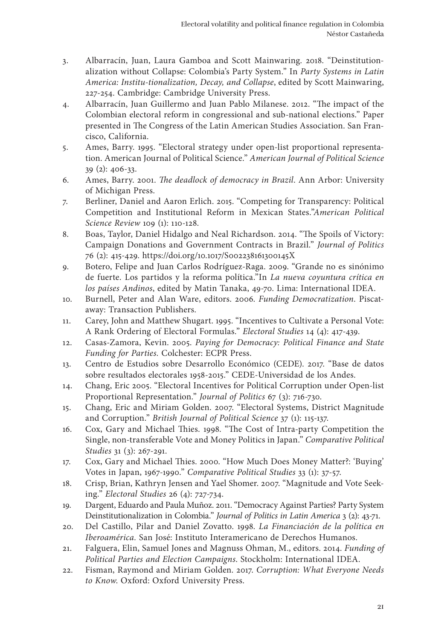- 3. Albarracín, Juan, Laura Gamboa and Scott Mainwaring. 2018. "Deinstitutionalization without Collapse: Colombia's Party System." In *Party Systems in Latin America: Institu-tionalization, Decay, and Collapse*, edited by Scott Mainwaring, 227-254. Cambridge: Cambridge University Press.
- 4. Albarracín, Juan Guillermo and Juan Pablo Milanese. 2012. "The impact of the Colombian electoral reform in congressional and sub-national elections." Paper presented in The Congress of the Latin American Studies Association. San Francisco, California.
- 5. Ames, Barry. 1995. "Electoral strategy under open-list proportional representation. American Journal of Political Science." *American Journal of Political Science* 39 (2): 406-33.
- 6. Ames, Barry. 2001. *The deadlock of democracy in Brazil*. Ann Arbor: University of Michigan Press.
- 7. Berliner, Daniel and Aaron Erlich. 2015. "Competing for Transparency: Political Competition and Institutional Reform in Mexican States."*American Political Science Review* 109 (1): 110-128.
- 8. Boas, Taylor, Daniel Hidalgo and Neal Richardson. 2014. "The Spoils of Victory: Campaign Donations and Government Contracts in Brazil." *Journal of Politics* 76 (2): 415-429. https://doi.org/10.1017/S002238161300145X
- 9. Botero, Felipe and Juan Carlos Rodríguez-Raga. 2009. "Grande no es sinónimo de fuerte. Los partidos y la reforma política."In *La nueva coyuntura crítica en los países Andinos*, edited by Matin Tanaka, 49-70. Lima: International IDEA.
- 10. Burnell, Peter and Alan Ware, editors. 2006. *Funding Democratization*. Piscataway: Transaction Publishers.
- 11. Carey, John and Matthew Shugart. 1995. "Incentives to Cultivate a Personal Vote: A Rank Ordering of Electoral Formulas." *Electoral Studies* 14 (4): 417-439.
- 12. Casas-Zamora, Kevin. 2005. *Paying for Democracy: Political Finance and State Funding for Parties.* Colchester: ECPR Press.
- 13. Centro de Estudios sobre Desarrollo Económico (CEDE). 2017. "Base de datos sobre resultados electorales 1958-2015." CEDE-Universidad de los Andes.
- 14. Chang, Eric 2005. "Electoral Incentives for Political Corruption under Open-list Proportional Representation." *Journal of Politics* 67 (3): 716-730.
- 15. Chang, Eric and Miriam Golden. 2007. "Electoral Systems, District Magnitude and Corruption." *British Journal of Political Science* 37 (1): 115-137.
- 16. Cox, Gary and Michael Thies. 1998. "The Cost of Intra-party Competition the Single, non-transferable Vote and Money Politics in Japan." *Comparative Political Studies* 31 (3): 267-291.
- 17. Cox, Gary and Michael Thies. 2000. "How Much Does Money Matter?: 'Buying' Votes in Japan, 1967-1990." *Comparative Political Studies* 33 (1): 37-57.
- 18. Crisp, Brian, Kathryn Jensen and Yael Shomer. 2007. "Magnitude and Vote Seeking." *Electoral Studies* 26 (4): 727-734.
- 19. Dargent, Eduardo and Paula Muñoz. 2011. "Democracy Against Parties? Party System Deinstitutionalization in Colombia." *Journal of Politics in Latin America* 3 (2): 43-71.
- 20. Del Castillo, Pilar and Daniel Zovatto. 1998. *La Financiación de la política en Iberoamérica.* San José: Instituto Interamericano de Derechos Humanos.
- 21. Falguera, Elin, Samuel Jones and Magnuss Ohman, M., editors. 2014. *Funding of Political Parties and Election Campaigns*. Stockholm: International IDEA.
- 22. Fisman, Raymond and Miriam Golden. 2017. *Corruption: What Everyone Needs to Know*. Oxford: Oxford University Press.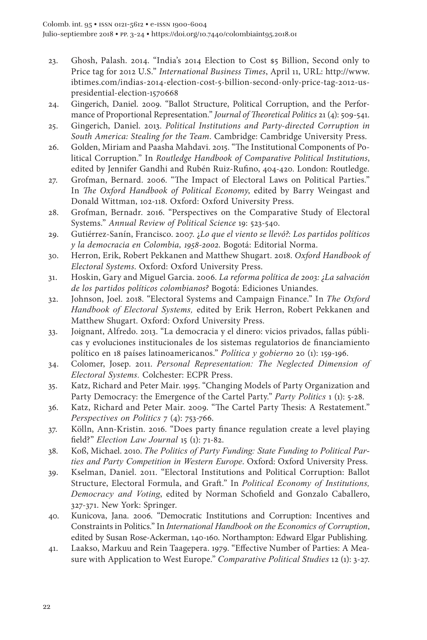- 23. Ghosh, Palash. 2014. "India's 2014 Election to Cost \$5 Billion, Second only to Price tag for 2012 U.S." *International Business Times*, April 11, URL: http://www. ibtimes.com/indias-2014-election-cost-5-billion-second-only-price-tag-2012-uspresidential-election-1570668
- 24. Gingerich, Daniel. 2009. "Ballot Structure, Political Corruption, and the Performance of Proportional Representation." *Journal of Theoretical Politics* 21 (4): 509-541.
- 25. Gingerich, Daniel. 2013. *Political Institutions and Party-directed Corruption in South America: Stealing for the Team*. Cambridge: Cambridge University Press.
- 26. Golden, Miriam and Paasha Mahdavi. 2015. "The Institutional Components of Political Corruption." In *Routledge Handbook of Comparative Political Institutions*, edited by Jennifer Gandhi and Rubén Ruiz-Rufino, 404-420. London: Routledge.
- 27. Grofman, Bernard. 2006. "The Impact of Electoral Laws on Political Parties." In *The Oxford Handbook of Political Economy*, edited by Barry Weingast and Donald Wittman, 102-118. Oxford: Oxford University Press.
- 28. Grofman, Bernadr. 2016. "Perspectives on the Comparative Study of Electoral Systems." *Annual Review of Political Science* 19: 523-540.
- 29. Gutiérrez-Sanín, Francisco. 2007. ¿*Lo que el viento se llevó?: Los partidos políticos y la democracia en Colombia, 1958-2002*. Bogotá: Editorial Norma.
- 30. Herron, Erik, Robert Pekkanen and Matthew Shugart. 2018. *Oxford Handbook of Electoral Systems*. Oxford: Oxford University Press.
- 31. Hoskin, Gary and Miguel Garcia. 2006. *La reforma política de 2003: ¿La salvación de los partidos políticos colombianos?* Bogotá: Ediciones Uniandes.
- 32. Johnson, Joel. 2018. "Electoral Systems and Campaign Finance." In *The Oxford Handbook of Electoral Systems,* edited by Erik Herron, Robert Pekkanen and Matthew Shugart. Oxford: Oxford University Press.
- 33. Joignant, Alfredo. 2013. "La democracia y el dinero: vicios privados, fallas públicas y evoluciones institucionales de los sistemas regulatorios de financiamiento político en 18 países latinoamericanos." *Política y gobierno* 20 (1): 159-196.
- 34. Colomer, Josep. 2011. *Personal Representation: The Neglected Dimension of Electoral Systems.* Colchester: ECPR Press.
- 35. Katz, Richard and Peter Mair. 1995. "Changing Models of Party Organization and Party Democracy: the Emergence of the Cartel Party." *Party Politics* 1 (1): 5-28.
- 36. Katz, Richard and Peter Mair. 2009. "The Cartel Party Thesis: A Restatement." *Perspectives on Politics* 7 (4): 753-766.
- 37. Kölln, Ann-Kristin. 2016. "Does party finance regulation create a level playing field?" *Election Law Journal* 15 (1): 71-82.
- 38. Koß, Michael. 2010. *The Politics of Party Funding: State Funding to Political Parties and Party Competition in Western Europe*. Oxford: Oxford University Press.
- 39. Kselman, Daniel. 2011. "Electoral Institutions and Political Corruption: Ballot Structure, Electoral Formula, and Graft." In *Political Economy of Institutions, Democracy and Voting*, edited by Norman Schofield and Gonzalo Caballero, 327-371. New York: Springer.
- 40. Kunicova, Jana. 2006. "Democratic Institutions and Corruption: Incentives and Constraints in Politics." In *International Handbook on the Economics of Corruption*, edited by Susan Rose-Ackerman, 140-160. Northampton: Edward Elgar Publishing.
- 41. Laakso, Markuu and Rein Taagepera. 1979. "Effective Number of Parties: A Measure with Application to West Europe." *Comparative Political Studies* 12 (1): 3-27.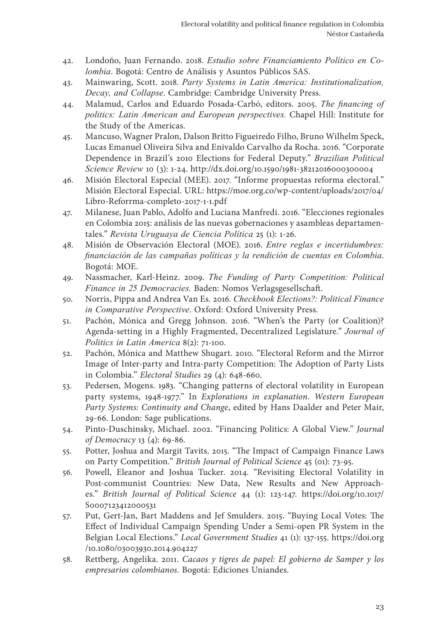- 42. Londoño, Juan Fernando. 2018. *Estudio sobre Financiamiento Político en Colombia*. Bogotá: Centro de Análisis y Asuntos Públicos SAS.
- 43. Mainwaring, Scott. 2018. *Party Systems in Latin America: Institutionalization, Decay, and Collapse*. Cambridge: Cambridge University Press.
- 44. Malamud, Carlos and Eduardo Posada-Carbó, editors. 2005. *The financing of politics: Latin American and European perspectives.* Chapel Hill: Institute for the Study of the Americas.
- 45. Mancuso, Wagner Pralon, Dalson Britto Figueiredo Filho, Bruno Wilhelm Speck, Lucas Emanuel Oliveira Silva and Enivaldo Carvalho da Rocha. 2016. "Corporate Dependence in Brazil's 2010 Elections for Federal Deputy." *Brazilian Political Science Review* 10 (3): 1-24. http://dx.doi.org/10.1590/1981-38212016000300004
- 46. Misión Electoral Especial (MEE). 2017. "Informe propuestas reforma electoral." Misión Electoral Especial. URL: https://moe.org.co/wp-content/uploads/2017/04/ Libro-Reforrma-completo-2017-1-1.pdf
- 47. Milanese, Juan Pablo, Adolfo and Luciana Manfredi. 2016. "Elecciones regionales en Colombia 2015: análisis de las nuevas gobernaciones y asambleas departamentales." *Revista Uruguaya de Ciencia Política* 25 (1): 1-26.
- 48. Misión de Observación Electoral (MOE). 2016. *Entre reglas e incertidumbres: financiación de las campañas políticas y la rendición de cuentas en Colombia*. Bogotá: MOE.
- 49. Nassmacher, Karl-Heinz. 2009. *The Funding of Party Competition: Political Finance in 25 Democracies.* Baden: Nomos Verlagsgesellschaft.
- 50. Norris, Pippa and Andrea Van Es. 2016. *Checkbook Elections?: Political Finance in Comparative Perspective*. Oxford: Oxford University Press.
- 51. Pachón, Mónica and Gregg Johnson. 2016. "When's the Party (or Coalition)? Agenda-setting in a Highly Fragmented, Decentralized Legislature." *Journal of Politics in Latin America* 8(2): 71-100.
- 52. Pachón, Mónica and Matthew Shugart. 2010. "Electoral Reform and the Mirror Image of Inter-party and Intra-party Competition: The Adoption of Party Lists in Colombia." *Electoral Studies* 29 (4): 648-660.
- 53. Pedersen, Mogens. 1983. "Changing patterns of electoral volatility in European party systems, 1948-1977." In *Explorations in explanation. Western European Party Systems: Continuity and Change*, edited by Hans Daalder and Peter Mair, 29-66. London: Sage publications.
- 54. Pinto-Duschinsky, Michael. 2002. "Financing Politics: A Global View." *Journal of Democracy* 13 (4): 69-86.
- 55. Potter, Joshua and Margit Tavits. 2015. "The Impact of Campaign Finance Laws on Party Competition." *British Journal of Political Science* 45 (01): 73-95.
- 56. Powell, Eleanor and Joshua Tucker. 2014. "Revisiting Electoral Volatility in Post-communist Countries: New Data, New Results and New Approaches." *British Journal of Political Science* 44 (1): 123-147. https://doi.org/10.1017/ S0007123412000531
- 57. Put, Gert-Jan, Bart Maddens and Jef Smulders. 2015. "Buying Local Votes: The Effect of Individual Campaign Spending Under a Semi-open PR System in the Belgian Local Elections." *Local Government Studies* 41 (1): 137-155. https://doi.org /10.1080/03003930.2014.904227
- 58. Rettberg, Angelika. 2011. *Cacaos y tigres de papel: El gobierno de Samper y los empresarios colombianos.* Bogotá: Ediciones Uniandes.